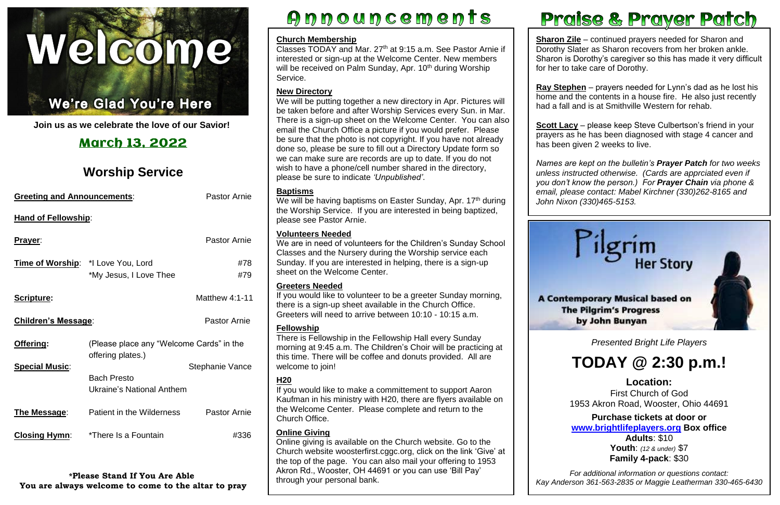

#### ١ Ļ

í **Join us as we celebrate the love of our Savior!**

| <b>Greeting and Announcements:</b> |                                                               | <b>Pastor Arnie</b>    |  |
|------------------------------------|---------------------------------------------------------------|------------------------|--|
| <b>Hand of Fellowship:</b>         |                                                               |                        |  |
| <u>Prayer:</u>                     |                                                               | <b>Pastor Arnie</b>    |  |
| Time of Worship: *I Love You, Lord | *My Jesus, I Love Thee                                        | #78<br>#79             |  |
| <b>Scripture:</b>                  |                                                               | <b>Matthew 4:1-11</b>  |  |
| <b>Children's Message:</b>         |                                                               | <b>Pastor Arnie</b>    |  |
| Offering:                          | (Please place any "Welcome Cards" in the<br>offering plates.) |                        |  |
| <b>Special Music:</b>              | <b>Bach Presto</b><br>Ukraine's National Anthem               | <b>Stephanie Vance</b> |  |
| The Message:                       | Patient in the Wilderness                                     | <b>Pastor Arnie</b>    |  |
| <b>Closing Hymn:</b>               | *There Is a Fountain                                          | #336                   |  |

# March 13, 2022

# **Worship Service**

**Sharon Zile** – continued prayers needed for Sharon and Dorothy Slater as Sharon recovers from her broken ankle. Sharon is Dorothy's caregiver so this has made it very difficult for her to take care of Dorothy.

**\*Please Stand If You Are Able You are always welcome to come to the altar to pray**

# Announcements





Classes TODAY and Mar. 27<sup>th</sup> at 9:15 a.m. See Pastor Arnie if interested or sign-up at the Welcome Center. New members will be received on Palm Sunday, Apr. 10<sup>th</sup> during Worship Service.

> **Scott Lacy** – please keep Steve Culbertson's friend in your has been given 2 weeks to live. prayers as he has been diagnosed with stage 4 cancer and

**Ray Stephen** – prayers needed for Lynn's dad as he lost his home and the contents in a house fire. He also just recently had a fall and is at Smithville Western for rehab.

 *unless instructed otherwise. (Cards are apprciated even if Names are kept on the bulletin's Prayer Patch for two weeks you don't know the person.) For Prayer Chain via phone & email, please contact: Mabel Kirchner (330)262-8165 and John Nixon (330)465-5153.*

We will be having baptisms on Easter Sunday, Apr. 17<sup>th</sup> during the Worship Service. If you are interested in being baptized, please see Pastor Arnie.

#### **Church Membership**

### **New Directory**

 this time. There will be coffee and donuts provided. All are There is Fellowship in the Fellowship Hall every Sunday morning at 9:45 a.m. The Children's Choir will be practicing at welcome to join!

We will be putting together a new directory in Apr. Pictures will be taken before and after Worship Services every Sun. in Mar. There is a sign-up sheet on the Welcome Center. You can also email the Church Office a picture if you would prefer. Please be sure that the photo is not copyright. If you have not already done so, please be sure to fill out a Directory Update form so we can make sure are records are up to date. If you do not wish to have a phone/cell number shared in the directory, please be sure to indicate *'Unpublished'*.

 *Presented Bright Life Players*

# **TODAY @ 2:30 p.m.!**

 First Church of God  1953 Akron Road, Wooster, Ohio 44691 **Location:**

 **Purchase tickets at door or Adults**: \$10  **Youth**: *(12 & under)* \$7  **Family 4-pack**: \$30 **[www.brightlifeplayers.org](http://www.brightlifeplayers.org/) Box office**

#### **Baptisms**

 *Kay Anderson 361-563-2835 or Maggie Leatherman 330-465-6430For additional information or questions contact:*

## **Volunteers Needed**

We are in need of volunteers for the Children's Sunday School Classes and the Nursery during the Worship service each Sunday. If you are interested in helping, there is a sign-up sheet on the Welcome Center.

# **Greeters Needed**

If you would like to volunteer to be a greeter Sunday morning, there is a sign-up sheet available in the Church Office. Greeters will need to arrive between 10:10 - 10:15 a.m.

# **Fellowship**

# **H20**

If you would like to make a committement to support Aaron Kaufman in his ministry with H20, there are flyers available on the Welcome Center. Please complete and return to the Church Office.

# **Online Giving**

Online giving is available on the Church website. Go to the Church website [woosterfirst.cggc.org,](http://woosterfirst.cggc.org/) click on the link 'Give' at the top of the page. You can also mail your offering to 1953 Akron Rd., Wooster, OH 44691 or you can use 'Bill Pay' through your personal bank.

# Praise & Prayer Patch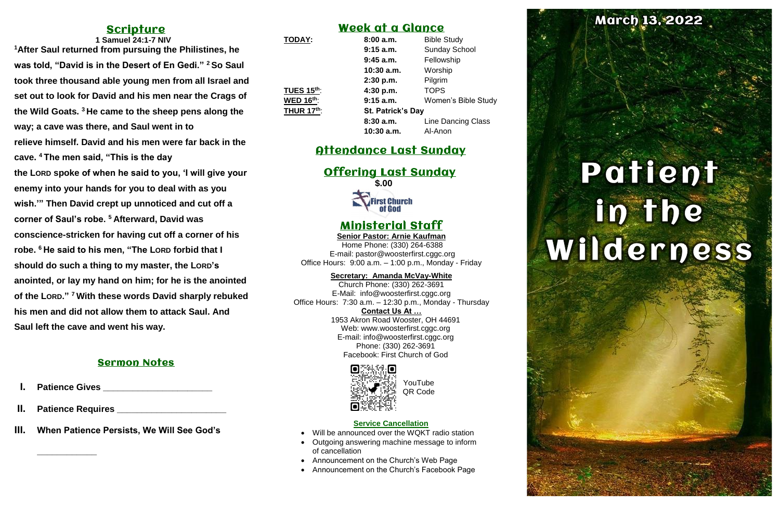# **Scripture**

**1 Samuel 24:1-7 NIV <sup>1</sup>After Saul returned from pursuing the Philistines, he was told, "David is in the Desert of En Gedi." <sup>2</sup> So Saul took three thousand able young men from all Israel and set out to look for David and his men near the Crags of the Wild Goats. <sup>3</sup> He came to the sheep pens along the way; a cave was there, and Saul went in to relieve himself. David and his men were far back in the cave. <sup>4</sup> The men said, "This is the day the LORD spoke of when he said to you, 'I will give your enemy into your hands for you to deal with as you wish.'" Then David crept up unnoticed and cut off a corner of Saul's robe. <sup>5</sup> Afterward, David was conscience-stricken for having cut off a corner of his robe. <sup>6</sup> He said to his men, "The LORD forbid that I should do such a thing to my master, the LORD's anointed, or lay my hand on him; for he is the anointed of the LORD." <sup>7</sup> With these words David sharply rebuked his men and did not allow them to attack Saul. And Saul left the cave and went his way.**

#### Sermon Notes

**Patience Gives** 

- **II. Patience Requires \_\_\_\_\_\_\_\_\_\_\_\_\_\_\_\_\_\_\_\_\_\_**
- **III. When Patience Persists, We Will See God's**

**\_\_\_\_\_\_\_\_\_\_\_\_**

# Week at a Glance

| <b>TODAY:</b>     | 8:00a.m.     | <b>Bible Study</b>         |  |
|-------------------|--------------|----------------------------|--|
|                   | $9:15$ a.m.  | <b>Sunday School</b>       |  |
|                   | $9:45$ a.m.  | Fellowship                 |  |
|                   | $10:30$ a.m. | Worship                    |  |
|                   | 2:30 p.m.    | Pilgrim                    |  |
| <b>TUES 15th:</b> | 4:30 p.m.    | <b>TOPS</b>                |  |
| <b>WED 16th:</b>  | $9:15$ a.m.  | <b>Women's Bible Study</b> |  |
| <b>THUR 17th:</b> |              | <b>St. Patrick's Day</b>   |  |
|                   | 8:30a.m.     | <b>Line Dancing Class</b>  |  |
|                   | $10:30$ a.m. | Al-Anon                    |  |

# Attendance Last Sunday

#### Offering Last Sunday **\$.00**

**First Church** of God

# Ministerial Staff

**Senior Pastor: Arnie Kaufman** Home Phone: (330) 264-6388 E-mail: [pastor@woosterfirst.cggc.org](mailto:pastor@woosterfirst.cggc.org) Office Hours: 9:00 a.m. – 1:00 p.m., Monday - Friday

#### **Secretary: Amanda McVay-White**

Church Phone: (330) 262-3691 E-Mail: info@woosterfirst.cggc.org Office Hours: 7:30 a.m. – 12:30 p.m., Monday - Thursday **Contact Us At …** 1953 Akron Road Wooster, OH 44691 Web: [www.woosterfirst.cggc.org](http://www.woosterfirst.cggc.org/) E-mail: info@woosterfirst.cggc.org Phone: (330) 262-3691 Facebook: First Church of God



#### **Service Cancellation**

- Will be announced over the WQKT radio station
- Outgoing answering machine message to inform of cancellation
- Announcement on the Church's Web Page
- Announcement on the Church's Facebook Page

# **March 13, 2022**

# Patient **In the said**

YouTube QR Code